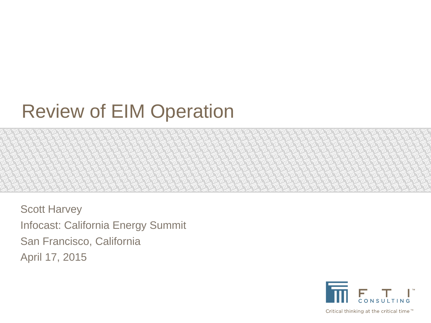# Review of EIM Operation

Scott Harvey Infocast: California Energy Summit San Francisco, California April 17, 2015



Critical thinking at the critical time<sup>™</sup>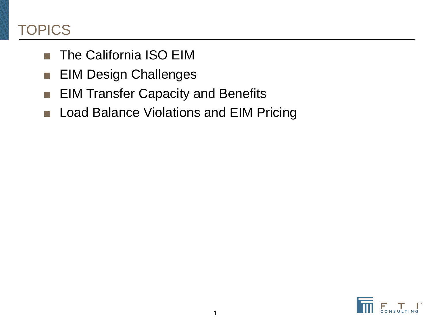# **TOPICS**

- The California ISO EIM
- EIM Design Challenges
- EIM Transfer Capacity and Benefits
- Load Balance Violations and EIM Pricing

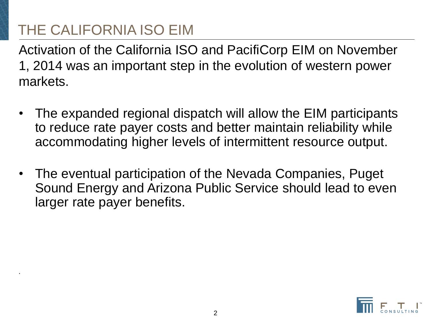# THE CALIFORNIA ISO EIM

.

Activation of the California ISO and PacifiCorp EIM on November 1, 2014 was an important step in the evolution of western power markets.

- The expanded regional dispatch will allow the EIM participants to reduce rate payer costs and better maintain reliability while accommodating higher levels of intermittent resource output.
- The eventual participation of the Nevada Companies, Puget Sound Energy and Arizona Public Service should lead to even larger rate payer benefits.

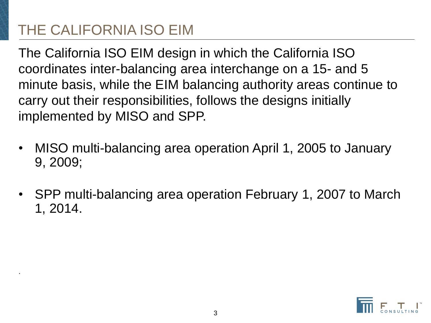# THE CALIFORNIA ISO EIM

.

The California ISO EIM design in which the California ISO coordinates inter-balancing area interchange on a 15- and 5 minute basis, while the EIM balancing authority areas continue to carry out their responsibilities, follows the designs initially implemented by MISO and SPP.

- MISO multi-balancing area operation April 1, 2005 to January 9, 2009;
- SPP multi-balancing area operation February 1, 2007 to March 1, 2014.

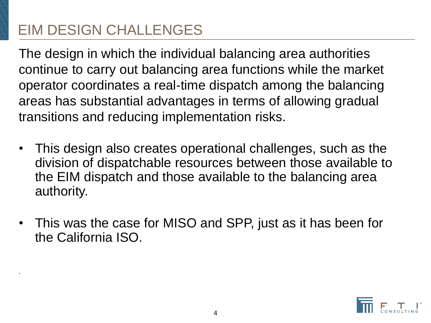.

The design in which the individual balancing area authorities continue to carry out balancing area functions while the market operator coordinates a real-time dispatch among the balancing areas has substantial advantages in terms of allowing gradual transitions and reducing implementation risks.

- This design also creates operational challenges, such as the division of dispatchable resources between those available to the EIM dispatch and those available to the balancing area authority.
- This was the case for MISO and SPP, just as it has been for the California ISO.

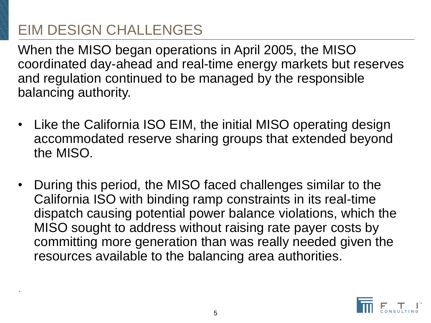.

When the MISO began operations in April 2005, the MISO coordinated day-ahead and real-time energy markets but reserves and regulation continued to be managed by the responsible balancing authority.

- Like the California ISO EIM, the initial MISO operating design accommodated reserve sharing groups that extended beyond the MISO.
- During this period, the MISO faced challenges similar to the California ISO with binding ramp constraints in its real-time dispatch causing potential power balance violations, which the MISO sought to address without raising rate payer costs by committing more generation than was really needed given the resources available to the balancing area authorities.

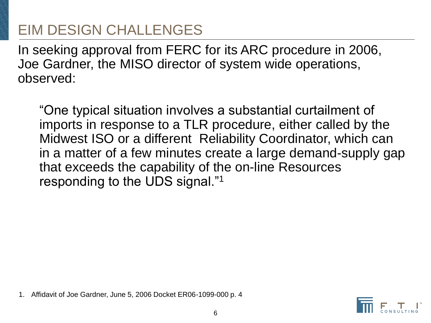In seeking approval from FERC for its ARC procedure in 2006, Joe Gardner, the MISO director of system wide operations, observed:

"One typical situation involves a substantial curtailment of imports in response to a TLR procedure, either called by the Midwest ISO or a different Reliability Coordinator, which can in a matter of a few minutes create a large demand-supply gap that exceeds the capability of the on-line Resources responding to the UDS signal."<sup>1</sup>

1. Affidavit of Joe Gardner, June 5, 2006 Docket ER06-1099-000 p. 4

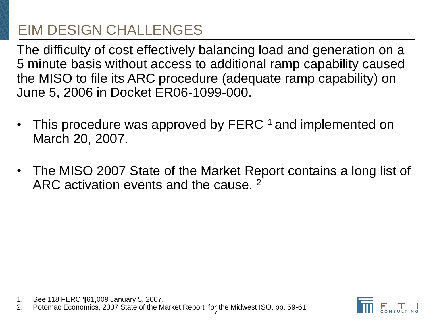The difficulty of cost effectively balancing load and generation on a 5 minute basis without access to additional ramp capability caused the MISO to file its ARC procedure (adequate ramp capability) on June 5, 2006 in Docket ER06-1099-000.

- This procedure was approved by FERC <sup>1</sup> and implemented on March 20, 2007.
- The MISO 2007 State of the Market Report contains a long list of ARC activation events and the cause. <sup>2</sup>

- 1. See 118 FERC ¶61,009 January 5, 2007.
- 2. Potomac Economics, 2007 State of the Market Report for the Midwest ISO, pp. 59-61

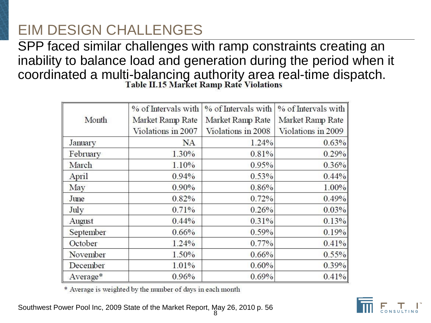SPP faced similar challenges with ramp constraints creating an inability to balance load and generation during the period when it coordinated a multi-balancing authority area real-time dispatch.<br>Table II.15 Market Ramp Rate Violations

|           | % of Intervals with | % of Intervals with | % of Intervals with |
|-----------|---------------------|---------------------|---------------------|
| Month     | Market Ramp Rate    | Market Ramp Rate    | Market Ramp Rate    |
|           | Violations in 2007  | Violations in 2008  | Violations in 2009  |
| January   | <b>NA</b>           | 1.24%               | 0.63%               |
| February  | 1.30%               | 0.81%               | 0.29%               |
| March     | 1.10%               | 0.95%               | 0.36%               |
| April     | 0.94%               | 0.53%               | 0.44%               |
| May       | $0.90\%$            | 0.86%               | 1.00%               |
| June      | 0.82%               | 0.72%               | 0.49%               |
| July      | 0.71%               | 0.26%               | 0.03%               |
| August    | $0.44\%$            | 0.31%               | 0.13%               |
| September | 0.66%               | 0.59%               | 0.19%               |
| October   | 1.24%               | 0.77%               | 0.41%               |
| November  | 1.50%               | 0.66%               | 0.55%               |
| December  | 1.01%               | 0.60%               | $0.39\%$            |
| Average*  | 0.96%               | 0.69%               | 0.41%               |

\* Average is weighted by the number of days in each month

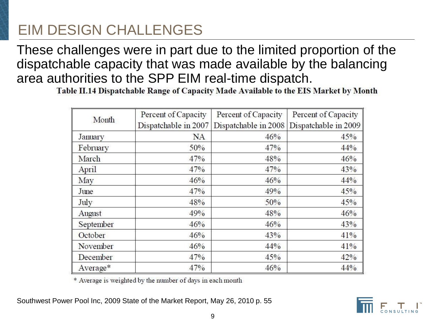These challenges were in part due to the limited proportion of the dispatchable capacity that was made available by the balancing area authorities to the SPP EIM real-time dispatch.

Table II.14 Dispatchable Range of Capacity Made Available to the EIS Market by Month

| Month     | Percent of Capacity  | Percent of Capacity  | Percent of Capacity  |
|-----------|----------------------|----------------------|----------------------|
|           | Dispatchable in 2007 | Dispatchable in 2008 | Dispatchable in 2009 |
| January   | <b>NA</b>            | 46%                  | 45%                  |
| February  | 50%                  | 47%                  | 44%                  |
| March     | 47%                  | 48%                  | 46%                  |
| April     | 47%                  | 47%                  | 43%                  |
| May       | 46%                  | 46%                  | 44%                  |
| June      | 47%                  | 49%                  | 45%                  |
| July      | 48%                  | 50%                  | 45%                  |
| August    | 49%                  | 48%                  | 46%                  |
| September | 46%                  | 46%                  | 43%                  |
| October   | 46%                  | 43%                  | 41%                  |
| November  | 46%                  | 44%                  | 41%                  |
| December  | 47%                  | 45%                  | 42%                  |
| Average*  | 47%                  | 46%                  | 44%                  |

\* Average is weighted by the number of days in each month

Southwest Power Pool Inc, 2009 State of the Market Report, May 26, 2010 p. 55

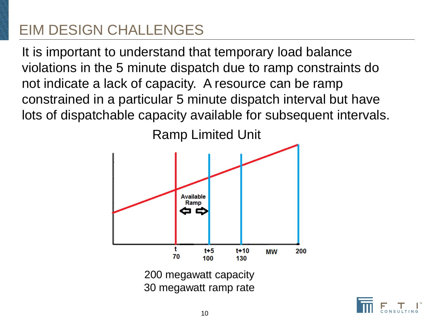It is important to understand that temporary load balance violations in the 5 minute dispatch due to ramp constraints do not indicate a lack of capacity. A resource can be ramp constrained in a particular 5 minute dispatch interval but have lots of dispatchable capacity available for subsequent intervals.



30 megawatt ramp rate

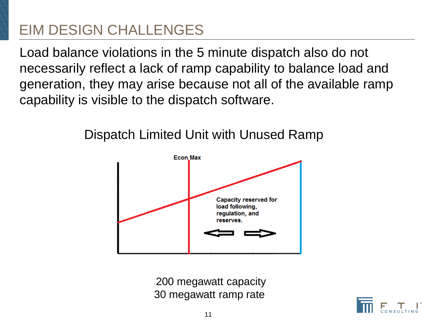Load balance violations in the 5 minute dispatch also do not necessarily reflect a lack of ramp capability to balance load and generation, they may arise because not all of the available ramp capability is visible to the dispatch software.



#### Dispatch Limited Unit with Unused Ramp

200 megawatt capacity 30 megawatt ramp rate

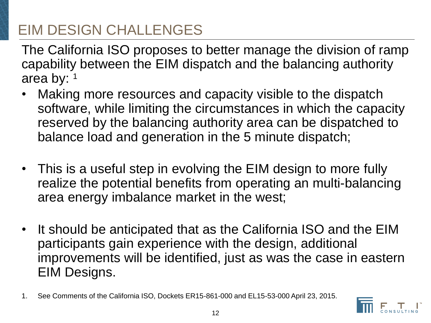The California ISO proposes to better manage the division of ramp capability between the EIM dispatch and the balancing authority area by: <sup>1</sup>

- Making more resources and capacity visible to the dispatch software, while limiting the circumstances in which the capacity reserved by the balancing authority area can be dispatched to balance load and generation in the 5 minute dispatch;
- This is a useful step in evolving the EIM design to more fully realize the potential benefits from operating an multi-balancing area energy imbalance market in the west;
- It should be anticipated that as the California ISO and the EIM participants gain experience with the design, additional improvements will be identified, just as was the case in eastern EIM Designs.
- 1. See Comments of the California ISO, Dockets ER15-861-000 and EL15-53-000 April 23, 2015.

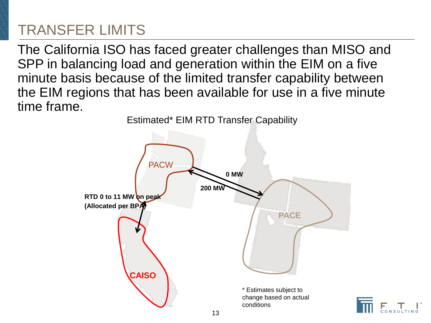The California ISO has faced greater challenges than MISO and SPP in balancing load and generation within the EIM on a five minute basis because of the limited transfer capability between the EIM regions that has been available for use in a five minute time frame.



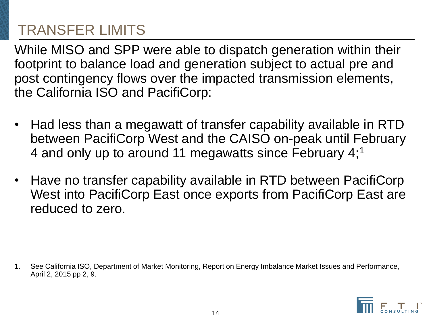While MISO and SPP were able to dispatch generation within their footprint to balance load and generation subject to actual pre and post contingency flows over the impacted transmission elements, the California ISO and PacifiCorp:

- Had less than a megawatt of transfer capability available in RTD between PacifiCorp West and the CAISO on-peak until February 4 and only up to around 11 megawatts since February 4:<sup>1</sup>
- Have no transfer capability available in RTD between PacifiCorp West into PacifiCorp East once exports from PacifiCorp East are reduced to zero.

1. See California ISO, Department of Market Monitoring, Report on Energy Imbalance Market Issues and Performance, April 2, 2015 pp 2, 9.

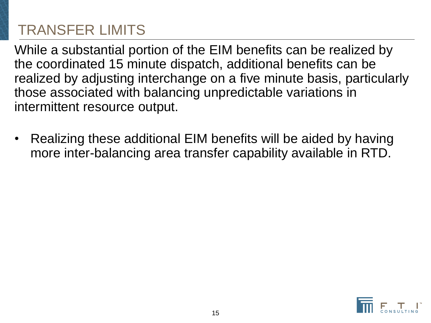While a substantial portion of the EIM benefits can be realized by the coordinated 15 minute dispatch, additional benefits can be realized by adjusting interchange on a five minute basis, particularly those associated with balancing unpredictable variations in intermittent resource output.

• Realizing these additional EIM benefits will be aided by having more inter-balancing area transfer capability available in RTD.

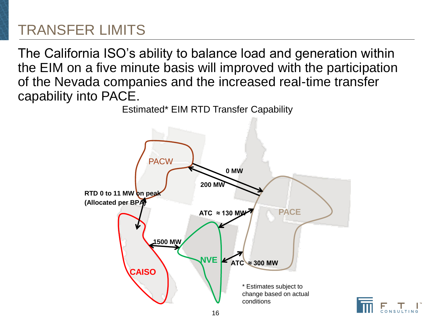The California ISO's ability to balance load and generation within the EIM on a five minute basis will improved with the participation of the Nevada companies and the increased real-time transfer capability into PACE.



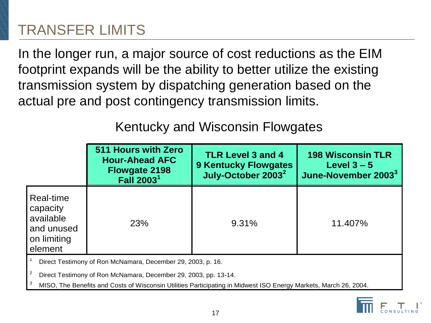In the longer run, a major source of cost reductions as the EIM footprint expands will be the ability to better utilize the existing transmission system by dispatching generation based on the actual pre and post contingency transmission limits.

#### Kentucky and Wisconsin Flowgates

|                                                                                                                                | 511 Hours with Zero<br><b>Hour-Ahead AFC</b><br><b>Flowgate 2198</b><br><b>Fall 2003</b> | <b>TLR Level 3 and 4</b><br><b>9 Kentucky Flowgates</b><br>July-October 2003 <sup>2</sup> | <b>198 Wisconsin TLR</b><br>Level $3 - 5$<br>June-November 2003 <sup>3</sup> |  |  |
|--------------------------------------------------------------------------------------------------------------------------------|------------------------------------------------------------------------------------------|-------------------------------------------------------------------------------------------|------------------------------------------------------------------------------|--|--|
| Real-time<br>capacity<br>available<br>and unused<br>on limiting<br>element                                                     | 23%                                                                                      | 9.31%                                                                                     | 11.407%                                                                      |  |  |
| Direct Testimony of Ron McNamara, December 29, 2003, p. 16.<br>Direct Testimony of Ron McNamara, December 29, 2003, pp. 13-14. |                                                                                          |                                                                                           |                                                                              |  |  |

<sup>3</sup>MISO, The Benefits and Costs of Wisconsin Utilities Participating in Midwest ISO Energy Markets, March 26, 2004.

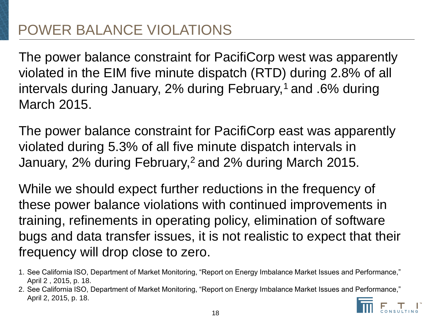The power balance constraint for PacifiCorp west was apparently violated in the EIM five minute dispatch (RTD) during 2.8% of all intervals during January, 2% during February,<sup>1</sup> and .6% during March 2015.

The power balance constraint for PacifiCorp east was apparently violated during 5.3% of all five minute dispatch intervals in January, 2% during February,<sup>2</sup> and 2% during March 2015.

While we should expect further reductions in the frequency of these power balance violations with continued improvements in training, refinements in operating policy, elimination of software bugs and data transfer issues, it is not realistic to expect that their frequency will drop close to zero.

- 1. See California ISO, Department of Market Monitoring, "Report on Energy Imbalance Market Issues and Performance," April 2 , 2015, p. 18.
- 2. See California ISO, Department of Market Monitoring, "Report on Energy Imbalance Market Issues and Performance," April 2, 2015, p. 18.

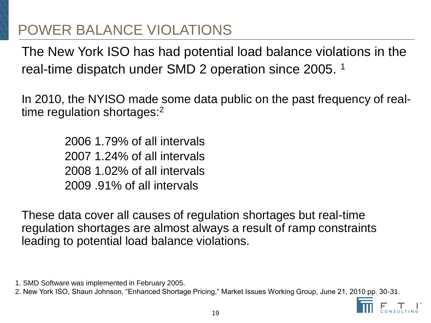The New York ISO has had potential load balance violations in the real-time dispatch under SMD 2 operation since 2005. <sup>1</sup>

In 2010, the NYISO made some data public on the past frequency of realtime regulation shortages:<sup>2</sup>

> 2006 1.79% of all intervals 2007 1.24% of all intervals 2008 1.02% of all intervals 2009 .91% of all intervals

These data cover all causes of regulation shortages but real-time regulation shortages are almost always a result of ramp constraints leading to potential load balance violations.

<sup>2.</sup> New York ISO, Shaun Johnson, "Enhanced Shortage Pricing," Market Issues Working Group, June 21, 2010 pp. 30-31.



<sup>1.</sup> SMD Software was implemented in February 2005.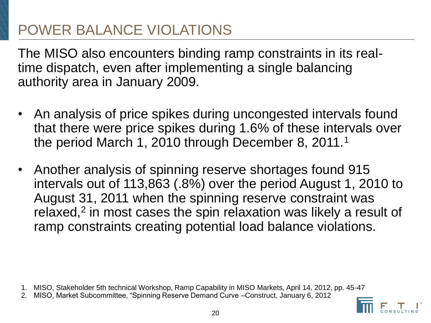The MISO also encounters binding ramp constraints in its realtime dispatch, even after implementing a single balancing authority area in January 2009.

- An analysis of price spikes during uncongested intervals found that there were price spikes during 1.6% of these intervals over the period March 1, 2010 through December 8, 2011.<sup>1</sup>
- Another analysis of spinning reserve shortages found 915 intervals out of 113,863 (.8%) over the period August 1, 2010 to August 31, 2011 when the spinning reserve constraint was relaxed,<sup>2</sup> in most cases the spin relaxation was likely a result of ramp constraints creating potential load balance violations.

- 1. MISO, Stakeholder 5th technical Workshop, Ramp Capability in MISO Markets, April 14, 2012, pp. 45-47
- 2. MISO, Market Subcommittee, "Spinning Reserve Demand Curve –Construct, January 6, 2012

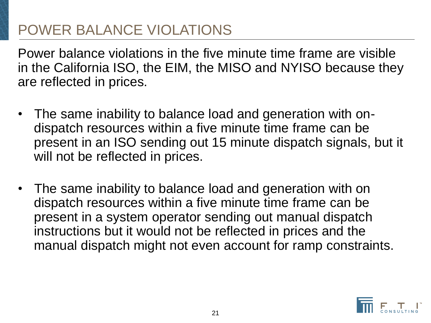Power balance violations in the five minute time frame are visible in the California ISO, the EIM, the MISO and NYISO because they are reflected in prices.

- The same inability to balance load and generation with ondispatch resources within a five minute time frame can be present in an ISO sending out 15 minute dispatch signals, but it will not be reflected in prices.
- The same inability to balance load and generation with on dispatch resources within a five minute time frame can be present in a system operator sending out manual dispatch instructions but it would not be reflected in prices and the manual dispatch might not even account for ramp constraints.

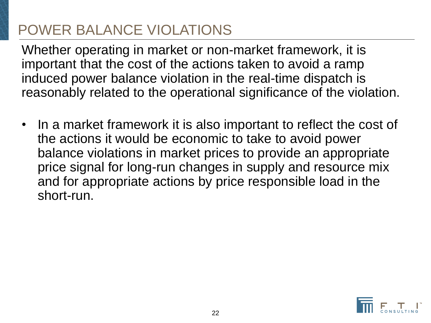Whether operating in market or non-market framework, it is important that the cost of the actions taken to avoid a ramp induced power balance violation in the real-time dispatch is reasonably related to the operational significance of the violation.

• In a market framework it is also important to reflect the cost of the actions it would be economic to take to avoid power balance violations in market prices to provide an appropriate price signal for long-run changes in supply and resource mix and for appropriate actions by price responsible load in the short-run.

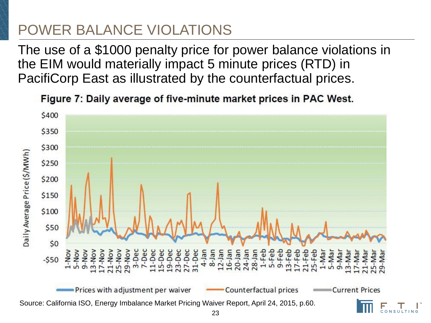The use of a \$1000 penalty price for power balance violations in the EIM would materially impact 5 minute prices (RTD) in PacifiCorp East as illustrated by the counterfactual prices.

Figure 7: Daily average of five-minute market prices in PAC West.

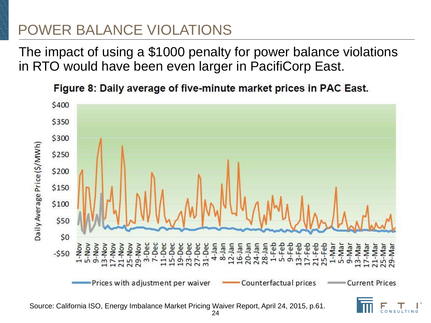The impact of using a \$1000 penalty for power balance violations in RTO would have been even larger in PacifiCorp East.

\$400 \$350 \$300 Daily Average Price (\$/MWh) \$250 \$200 \$150 \$100 \$50  $50$  $1-NOV$ <br>  $5-NOV$ <br>  $9-NOV$ <br>  $9-NOV$  $\frac{1}{2}$   $\frac{1}{2}$   $\frac{1}{2}$   $\frac{1}{2}$ Nov<br>Nov<br>Dec ner- $1-Mar$ Nov Dec Mar 9-Mar Nar -Dec Dec Nai  $-550$ Prices with adjustment per waiver Counterfactual prices **Current Prices** 

Figure 8: Daily average of five-minute market prices in PAC East.

Source: California ISO, Energy Imbalance Market Pricing Waiver Report, April 24, 2015, p.61.

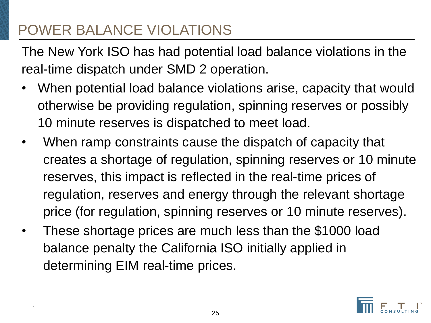.

The New York ISO has had potential load balance violations in the real-time dispatch under SMD 2 operation.

- When potential load balance violations arise, capacity that would otherwise be providing regulation, spinning reserves or possibly 10 minute reserves is dispatched to meet load.
- When ramp constraints cause the dispatch of capacity that creates a shortage of regulation, spinning reserves or 10 minute reserves, this impact is reflected in the real-time prices of regulation, reserves and energy through the relevant shortage price (for regulation, spinning reserves or 10 minute reserves).
- These shortage prices are much less than the \$1000 load balance penalty the California ISO initially applied in determining EIM real-time prices.

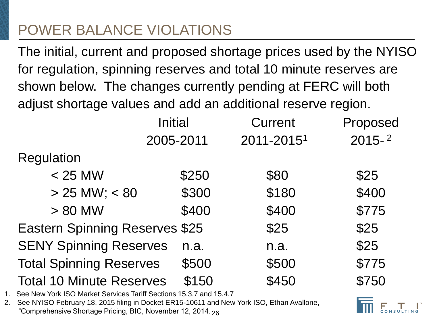The initial, current and proposed shortage prices used by the NYISO for regulation, spinning reserves and total 10 minute reserves are shown below. The changes currently pending at FERC will both adjust shortage values and add an additional reserve region.

| <b>Initial</b>                        | <b>Current</b> | Proposed   |
|---------------------------------------|----------------|------------|
| 2005-2011                             | 2011-20151     | $2015 - 2$ |
|                                       |                |            |
| \$250                                 | \$80           | \$25       |
| \$300                                 | \$180          | \$400      |
| \$400                                 | \$400          | \$775      |
| <b>Eastern Spinning Reserves \$25</b> | \$25           | \$25       |
| n.a.                                  | n.a.           | \$25       |
| \$500                                 | \$500          | \$775      |
| \$150                                 | \$450          | \$750      |
|                                       |                |            |

- 1. See New York ISO Market Services Tariff Sections 15.3.7 and 15.4.7
- 2. See NYISO February 18, 2015 filing in Docket ER15-10611 and New York ISO, Ethan Avallone, "Comprehensive Shortage Pricing, BIC, November 12, 2014. <sub>26</sub>

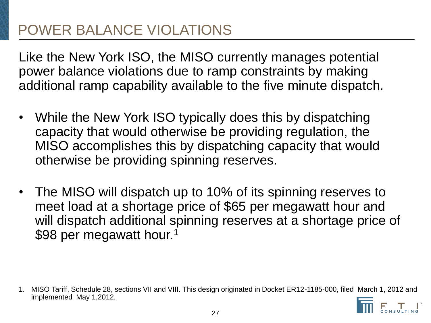Like the New York ISO, the MISO currently manages potential power balance violations due to ramp constraints by making additional ramp capability available to the five minute dispatch.

- While the New York ISO typically does this by dispatching capacity that would otherwise be providing regulation, the MISO accomplishes this by dispatching capacity that would otherwise be providing spinning reserves.
- The MISO will dispatch up to 10% of its spinning reserves to meet load at a shortage price of \$65 per megawatt hour and will dispatch additional spinning reserves at a shortage price of \$98 per megawatt hour.<sup>1</sup>

1. MISO Tariff, Schedule 28, sections VII and VIII. This design originated in Docket ER12-1185-000, filed March 1, 2012 and implemented May 1,2012.

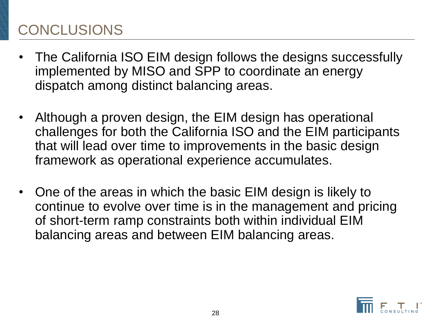#### CONCLUSIONS

- The California ISO EIM design follows the designs successfully implemented by MISO and SPP to coordinate an energy dispatch among distinct balancing areas.
- Although a proven design, the EIM design has operational challenges for both the California ISO and the EIM participants that will lead over time to improvements in the basic design framework as operational experience accumulates.
- One of the areas in which the basic EIM design is likely to continue to evolve over time is in the management and pricing of short-term ramp constraints both within individual EIM balancing areas and between EIM balancing areas.